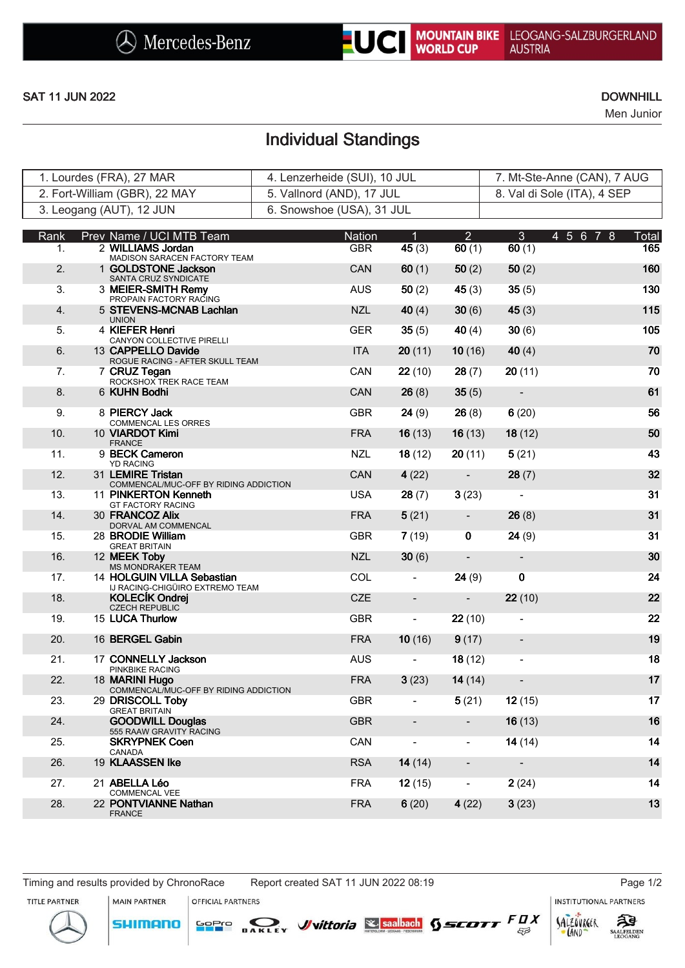## SAT 11 JUN 2022 DOWNHILL

Men Junior

## Individual Standings

| 1. Lourdes (FRA), 27 MAR      | 4. Lenzerheide (SUI), 10 JUL | 7. Mt-Ste-Anne (CAN), 7 AUG |
|-------------------------------|------------------------------|-----------------------------|
| 2. Fort-William (GBR), 22 MAY | 5. Vallnord (AND), 17 JUL    | 8. Val di Sole (ITA), 4 SEP |
| 3. Leogang (AUT), 12 JUN      | 6. Snowshoe (USA), 31 JUL    |                             |

| Rank | Prev Name / UCI MTB Team                                      | <b>Nation</b> | 1              | $\overline{2}$           | $\overline{3}$           | 4 5 6 7<br>8 | Total |
|------|---------------------------------------------------------------|---------------|----------------|--------------------------|--------------------------|--------------|-------|
| 1.   | 2 WILLIAMS Jordan<br>MADISON SARACEN FACTORY TEAM             | <b>GBR</b>    | 45(3)          | 60(1)                    | 60(1)                    |              | 165   |
| 2.   | 1 GOLDSTONE Jackson                                           | CAN           | 60(1)          | 50(2)                    | 50(2)                    |              | 160   |
| 3.   | SANTA CRUZ SYNDICATE<br>3 MEIER-SMITH Remy                    | <b>AUS</b>    | 50(2)          | 45(3)                    | 35(5)                    |              | 130   |
| 4.   | PROPAIN FACTORY RACING<br>5 STEVENS-MCNAB Lachlan             | <b>NZL</b>    | 40 $(4)$       | 30(6)                    | 45(3)                    |              | 115   |
| 5.   | <b>UNION</b><br>4 KIEFER Henri                                | <b>GER</b>    | 35(5)          |                          |                          |              | 105   |
|      | CANYON COLLECTIVE PIRELLI                                     |               |                | 40 $(4)$                 | 30(6)                    |              |       |
| 6.   | 13 CAPPELLO Davide<br>ROGUE RACING - AFTER SKULL TEAM         | <b>ITA</b>    | 20(11)         | 10(16)                   | 40 $(4)$                 |              | 70    |
| 7.   | 7 CRUZ Tegan<br>ROCKSHOX TREK RACE TEAM                       | CAN           | 22(10)         | 28(7)                    | 20(11)                   |              | 70    |
| 8.   | 6 KUHN Bodhi                                                  | CAN           | 26(8)          | 35(5)                    |                          |              | 61    |
| 9.   | 8 PIERCY Jack                                                 | <b>GBR</b>    | 24(9)          | 26(8)                    | 6(20)                    |              | 56    |
| 10.  | COMMENCAL LES ORRES<br>10 VIARDOT Kimi                        | <b>FRA</b>    | 16(13)         | 16(13)                   | 18(12)                   |              | 50    |
| 11.  | <b>FRANCE</b><br>9 BECK Cameron                               | <b>NZL</b>    | 18(12)         | 20(11)                   | 5(21)                    |              | 43    |
| 12.  | <b>YD RACING</b><br>31 LEMIRE Tristan                         | CAN           | 4(22)          | $\overline{\phantom{0}}$ | 28(7)                    |              | 32    |
| 13.  | COMMENCAL/MUC-OFF BY RIDING ADDICTION<br>11 PINKERTON Kenneth | USA           | 28(7)          | 3(23)                    |                          |              | 31    |
|      | <b>GT FACTORY RACING</b>                                      |               |                |                          |                          |              |       |
| 14.  | 30 FRANCOZ Alix<br>DORVAL AM COMMENCAL                        | <b>FRA</b>    | 5(21)          | $\blacksquare$           | 26(8)                    |              | 31    |
| 15.  | 28 BRODIE William<br><b>GREAT BRITAIN</b>                     | <b>GBR</b>    | 7(19)          | 0                        | 24(9)                    |              | 31    |
| 16.  | 12 MEEK Toby<br>MS MONDRAKER TEAM                             | <b>NZL</b>    | 30(6)          |                          |                          |              | 30    |
| 17.  | 14 HOLGUIN VILLA Sebastian<br>IJ RACING-CHIGÜIRO EXTREMO TEAM | COL           |                | 24(9)                    | 0                        |              | 24    |
| 18.  | <b>KOLECÍK Ondrej</b><br><b>CZECH REPUBLIC</b>                | <b>CZE</b>    | $\overline{a}$ | $\overline{a}$           | 22(10)                   |              | 22    |
| 19.  | 15 LUCA Thurlow                                               | <b>GBR</b>    |                | 22(10)                   |                          |              | 22    |
| 20.  | 16 BERGEL Gabin                                               | <b>FRA</b>    | 10(16)         | 9(17)                    | $\overline{\phantom{a}}$ |              | 19    |
| 21.  | 17 CONNELLY Jackson                                           | <b>AUS</b>    |                | 18(12)                   | $\blacksquare$           |              | 18    |
| 22.  | PINKBIKE RACING<br>18 MARINI Hugo                             | <b>FRA</b>    | 3(23)          | 14(14)                   | $\overline{a}$           |              | 17    |
| 23.  | COMMENCAL/MUC-OFF BY RIDING ADDICTION                         | <b>GBR</b>    |                | 5(21)                    | 12(15)                   |              | 17    |
|      | 29 DRISCOLL Toby<br><b>GREAT BRITAIN</b>                      |               |                |                          |                          |              |       |
| 24.  | <b>GOODWILL Douglas</b><br>555 RAAW GRAVITY RACING            | <b>GBR</b>    |                |                          | 16(13)                   |              | 16    |
| 25.  | <b>SKRYPNEK Coen</b><br>CANADA                                | CAN           |                |                          | 14(14)                   |              | 14    |
| 26.  | 19 KLAASSEN Ike                                               | <b>RSA</b>    | 14(14)         | $\overline{\phantom{0}}$ |                          |              | 14    |
| 27.  | 21 ABELLA Léo                                                 | <b>FRA</b>    | 12(15)         |                          | 2(24)                    |              | 14    |
| 28.  | <b>COMMENCAL VEE</b><br>22 PONTVIANNE Nathan<br><b>FRANCE</b> | <b>FRA</b>    | 6(20)          | 4(22)                    | 3(23)                    |              | 13    |

MAIN PARTNER

**SHIMANO** 

OFFICIAL PARTNERS

SOPIO DAKLEY Vittoria & saabach SSCOTT FUX

**INSTITUTIONAL PARTNERS** 

SALZOVREER

**LAND** 

 $53$ 





ट्रीडे

SAALFELDEN<br>LEOGANG